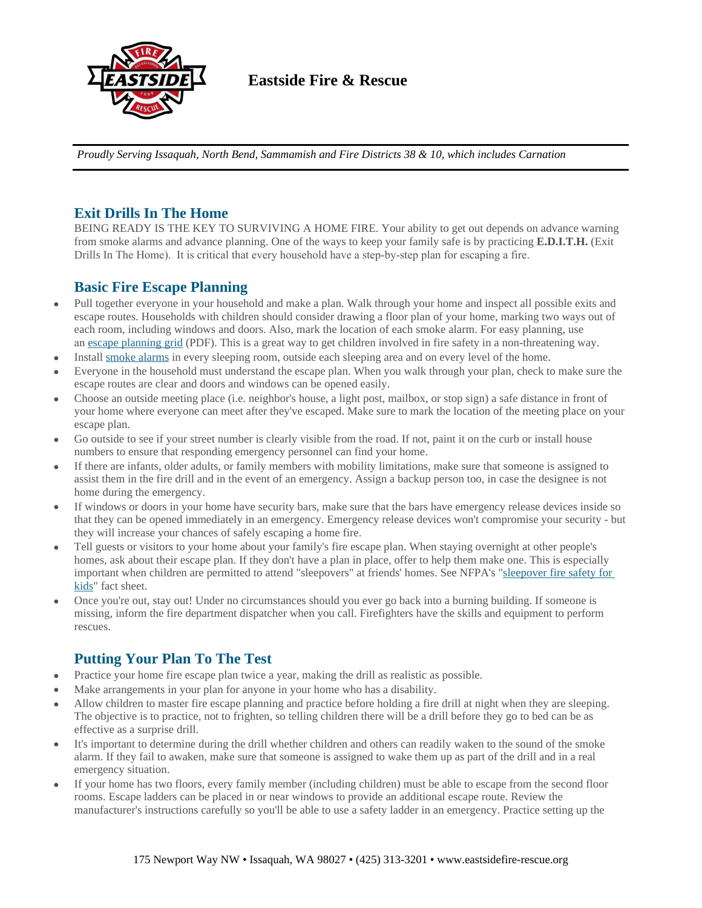

## **Eastside Fire & Rescue**

*Proudly Serving Issaquah, North Bend, Sammamish and Fire Districts 38 & 10, which includes Carnation*

## **Exit Drills In The Home**

BEING READY IS THE KEY TO SURVIVING A HOME FIRE. Your ability to get out depends on advance warning from smoke alarms and advance planning. One of the ways to keep your family safe is by practicing **E.D.I.T.H.** (Exit Drills In The Home). It is critical that every household have a step-by-step plan for escaping a fire.

## **Basic Fire Escape Planning**

- Pull together everyone in your household and make a plan. Walk through your home and inspect all possible exits and escape routes. Households with children should consider drawing a floor plan of your home, marking two ways out of each room, including windows and doors. Also, mark the location of each smoke alarm. For easy planning, use an [escape planning grid](https://www.eastpiercefire.org/file_viewer.php?id=254&dt=pdf) (PDF). This is a great way to get children involved in fire safety in a non-threatening way.
- Install [smoke alarms](https://www.eastpiercefire.org/page.php?id=158) in every sleeping room, outside each sleeping area and on every level of the home.
- Everyone in the household must understand the escape plan. When you walk through your plan, check to make sure the escape routes are clear and doors and windows can be opened easily.
- Choose an outside meeting place (i.e. neighbor's house, a light post, mailbox, or stop sign) a safe distance in front of your home where everyone can meet after they've escaped. Make sure to mark the location of the meeting place on your escape plan.
- Go outside to see if your street number is clearly visible from the road. If not, paint it on the curb or install house numbers to ensure that responding emergency personnel can find your home.
- If there are infants, older adults, or family members with mobility limitations, make sure that someone is assigned to assist them in the fire drill and in the event of an emergency. Assign a backup person too, in case the designee is not home during the emergency.
- If windows or doors in your home have security bars, make sure that the bars have emergency release devices inside so that they can be opened immediately in an emergency. Emergency release devices won't compromise your security - but they will increase your chances of safely escaping a home fire.
- Tell guests or visitors to your home about your family's fire escape plan. When staying overnight at other people's homes, ask about their escape plan. If they don't have a plan in place, offer to help them make one. This is especially important when children are permitted to attend "sleepovers" at friends' homes. See NFPA's "[sleepover fire safety for](http://www.nfpa.org/itemDetail.asp?categoryID=412&itemID=17851&URL=Learning/Public%20Education/Fire%20Prevention%20Week/For%20the%20fire%20service/Safety%20Tips/Develop%20and%20practice%20a%20home%20escape%20plan./Sleepover%20fire%20safety%20for%20kids/Sl)  kids" fact sheet.
- Once you're out, stay out! Under no circumstances should you ever go back into a burning building. If someone is missing, inform the fire department dispatcher when you call. Firefighters have the skills and equipment to perform rescues.

## **Putting Your Plan To The Test**

- Practice your home fire escape plan twice a year, making the drill as realistic as possible.
- Make arrangements in your plan for anyone in your home who has a disability.
- Allow children to master fire escape planning and practice before holding a fire drill at night when they are sleeping. The objective is to practice, not to frighten, so telling children there will be a drill before they go to bed can be as effective as a surprise drill.
- It's important to determine during the drill whether children and others can readily waken to the sound of the smoke alarm. If they fail to awaken, make sure that someone is assigned to wake them up as part of the drill and in a real emergency situation.
- If your home has two floors, every family member (including children) must be able to escape from the second floor rooms. Escape ladders can be placed in or near windows to provide an additional escape route. Review the manufacturer's instructions carefully so you'll be able to use a safety ladder in an emergency. Practice setting up the